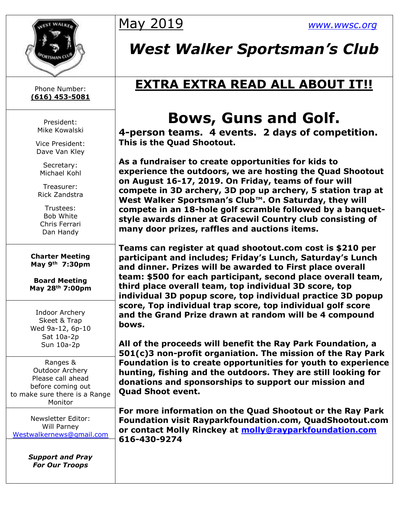

Phone Number: **(616) 453-5081**

> President: Mike Kowalski

Vice President: Dave Van Kley

Secretary: Michael Kohl

Treasurer: Rick Zandstra

Trustees: Bob White Chris Ferrari Dan Handy

**Charter Meeting May 9th 7:30pm**

**Board Meeting May 28th 7:00pm**

Indoor Archery Skeet & Trap Wed 9a-12, 6p-10 Sat 10a-2p Sun 10a-2p

Ranges & Outdoor Archery Please call ahead before coming out to make sure there is a Range Monitor

Newsletter Editor: Will Parney [Westwalkernews@gmail.com](mailto:Westwalkernews@gmail.com)

> *Support and Pray For Our Troops*

## May 2019 *[www.wwsc.org](http://www.wwsc.org/)*

## *West Walker Sportsman's Club*

## **EXTRA EXTRA READ ALL ABOUT IT!!**

## **Bows, Guns and Golf.**

**4-person teams. 4 events. 2 days of competition. This is the Quad Shootout.**

**As a fundraiser to create opportunities for kids to experience the outdoors, we are hosting the Quad Shootout on August 16-17, 2019. On Friday, teams of four will compete in 3D archery, 3D pop up archery, 5 station trap at West Walker Sportsman's Club™. On Saturday, they will compete in an 18-hole golf scramble followed by a banquetstyle awards dinner at Gracewil Country club consisting of many door prizes, raffles and auctions items.** 

**Teams can register at quad shootout.com cost is \$210 per participant and includes; Friday's Lunch, Saturday's Lunch and dinner. Prizes will be awarded to First place overall team: \$500 for each participant, second place overall team, third place overall team, top individual 3D score, top individual 3D popup score, top individual practice 3D popup score, Top individual trap score, top individual golf score and the Grand Prize drawn at random will be 4 compound bows.** 

**All of the proceeds will benefit the Ray Park Foundation, a 501(c)3 non-profit organiation. The mission of the Ray Park Foundation is to create opportunities for youth to experience hunting, fishing and the outdoors. They are still looking for donations and sponsorships to support our mission and Quad Shoot event.**

**For more information on the Quad Shootout or the Ray Park Foundation visit Rayparkfoundation.com, QuadShootout.com or contact Molly Rinckey at [molly@rayparkfoundation.com](mailto:molly@rayparkfoundation.com) 616-430-9274**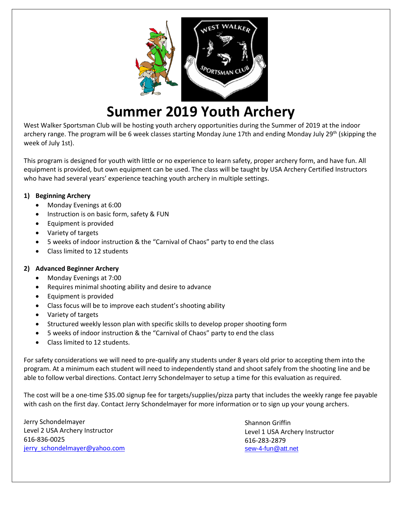

## **Summer 2019 Youth Archery**

West Walker Sportsman Club will be hosting youth archery opportunities during the Summer of 2019 at the indoor archery range. The program will be 6 week classes starting Monday June 17th and ending Monday July 29<sup>th</sup> (skipping the week of July 1st).

This program is designed for youth with little or no experience to learn safety, proper archery form, and have fun. All equipment is provided, but own equipment can be used. The class will be taught by USA Archery Certified Instructors who have had several years' experience teaching youth archery in multiple settings.

#### **1) Beginning Archery**

- Monday Evenings at 6:00
- Instruction is on basic form, safety & FUN
- Equipment is provided
- Variety of targets
- 5 weeks of indoor instruction & the "Carnival of Chaos" party to end the class
- Class limited to 12 students

#### **2) Advanced Beginner Archery**

- Monday Evenings at 7:00
- Requires minimal shooting ability and desire to advance
- Equipment is provided
- Class focus will be to improve each student's shooting ability
- Variety of targets
- Structured weekly lesson plan with specific skills to develop proper shooting form
- 5 weeks of indoor instruction & the "Carnival of Chaos" party to end the class
- Class limited to 12 students.

For safety considerations we will need to pre-qualify any students under 8 years old prior to accepting them into the program. At a minimum each student will need to independently stand and shoot safely from the shooting line and be able to follow verbal directions. Contact Jerry Schondelmayer to setup a time for this evaluation as required.

The cost will be a one-time \$35.00 signup fee for targets/supplies/pizza party that includes the weekly range fee payable with cash on the first day. Contact Jerry Schondelmayer for more information or to sign up your young archers.

Jerry Schondelmayer Level 2 USA Archery Instructor 616-836-0025 [jerry\\_schondelmayer@yahoo.com](mailto:jerry_schondelmayer@yahoo.com)

Shannon Griffin Level 1 USA Archery Instructor 616-283-2879 sew-4-fun@att.net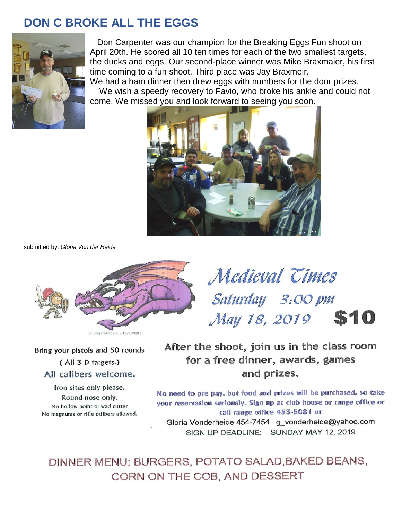#### **DON C BROKE ALL THE EGGS**



Don Carpenter was our champion for the Breaking Eggs Fun shoot on April 20th. He scored all 10 ten times for each of the two smallest targets, the ducks and eggs. Our second-place winner was Mike Braxmaier, his first time coming to a fun shoot. Third place was Jay Braxmeir.

We had a ham dinner then drew eggs with numbers for the door prizes. We wish a speedy recovery to Favio, who broke his ankle and could not come. We missed you and look forward to seeing you soon.



submitted by: *Gloria Von der Heide*



Bring your pistols and 50 rounds (All 3 D targets.)

#### All calibers welcome.

Iron sites only please. Round nose only. No hollow point or wad cutter No magnums or rifle calibers allowed.

Saturday 3:00 pm May 18, 2019 \$10 After the shoot, join us in the class room

Medieval Times

for a free dinner, awards, games and prizes.

No need to pre pay, but food and prizes will be purchased, so take your reservation seriously. Sign up at club house or range office or call range office 453-5081 or Gloria Vonderheide 454-7454 g vonderheide@yahoo.com SIGN UP DEADLINE: SUNDAY MAY 12, 2019

DINNER MENU: BURGERS, POTATO SALAD, BAKED BEANS, CORN ON THE COB, AND DESSERT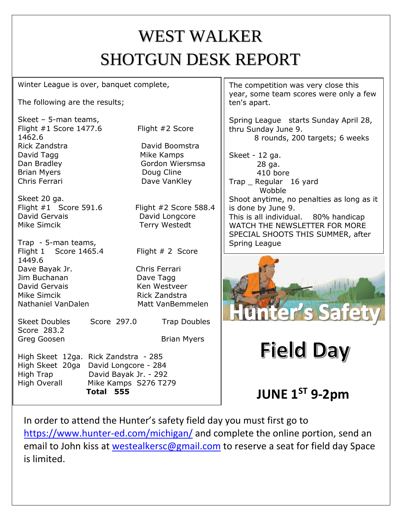# WEST WALKER SHOTGUN DESK REPORT

Winter League is over, banquet complete,

The following are the results;

Skeet – 5-man teams, Flight #1 Score 1477.6 Flight #2 Score 1462.6 Rick Zandstra **David Boomstra** David Tagg Mike Kamps Dan Bradley **Gordon Wiersmsa** Brian Myers **Doug Cline** Chris Ferrari Dave VanKley

Skeet 20 ga. Flight #1 Score 591.6 Flight #2 Score 588.4 David Gervais **David Longcore** Mike Simcik **Terry Westedt** 

Trap - 5-man teams, Flight 1 Score 1465.4 Flight # 2 Score 1449.6 Dave Bayak Jr. Chris Ferrari Jim Buchanan Dave Tagg David Gervais Ken Westveer Mike Simcik **Rick Zandstra** Nathaniel VanDalen Matt VanBemmelen

Score 283.2 Greg Goosen Brian Myers

Skeet Doubles Score 297.0 Trap Doubles

High Skeet 12ga. Rick Zandstra - 285 High Skeet 20ga David Longcore - 284 High Trap David Bayak Jr. - 292 High Overall Mike Kamps S276 T279 **Total 555**

The competition was very close this year, some team scores were only a few ten's apart.

Spring League starts Sunday April 28, thru Sunday June 9. 8 rounds, 200 targets; 6 weeks

Skeet - 12 ga. 28 ga. 410 bore Trap \_ Regular 16 yard Wobble Shoot anytime, no penalties as long as it is done by June 9. This is all individual. 80% handicap WATCH THE NEWSLETTER FOR MORE SPECIAL SHOOTS THIS SUMMER, after Spring League



# **Field Day**

**JUNE 1ST 9-2pm**

In order to attend the Hunter's safety field day you must first go to <https://www.hunter-ed.com/michigan/> and complete the online portion, send an email to John kiss at [westealkersc@gmail.com](mailto:westealkersc@gmail.com) to reserve a seat for field day Space is limited.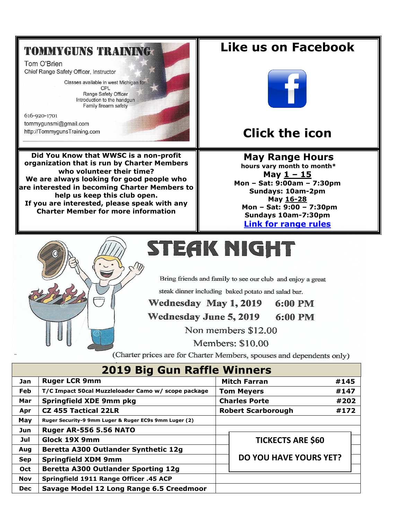### **TOMMYGUNS TRAINING**

Tom O'Brien Chief Range Safety Officer, Instructor

> Classes available in west Michigan for: CPL Range Safety Officer Introduction to the handgun Family firearm safety

616-920-1701 tommygunsmi@gmail.com http://TommygunsTraining.com

Did You Know that WWSC is a non-profit organization that is run by Charter Members who volunteer their time? We are always looking for good people who are interested in becoming Charter Members to help us keep this club open. If you are interested, please speak with any **Charter Member for more information** 



Like us on Facebook

### **Click the icon**

**May Range Hours** hours vary month to month\* May  $1 - 15$ Mon - Sat: 9:00am - 7:30pm Sundays: 10am-2pm May 16-28 Mon - Sat: 9:00 - 7:30pm Sundays 10am-7:30pm **Link for range rules** 



# STEAK NIGHT

Bring friends and family to see our club and enjoy a great

steak dinner including baked potato and salad bar.

Wednesday May 1, 2019 6:00 PM

Wednesday June 5, 2019 6:00 PM

Non members \$12.00

Members: \$10.00

(Charter prices are for Charter Members, spouses and dependents only)

| <b>2019 Big Gun Raffle Winners</b> |                                                       |  |                               |      |      |  |  |  |  |  |
|------------------------------------|-------------------------------------------------------|--|-------------------------------|------|------|--|--|--|--|--|
| Jan                                | <b>Ruger LCR 9mm</b>                                  |  | <b>Mitch Farran</b>           | #145 |      |  |  |  |  |  |
| <b>Feb</b>                         | T/C Impact 50cal Muzzleloader Camo w/ scope package   |  | <b>Tom Meyers</b>             |      | #147 |  |  |  |  |  |
| Mar                                | Springfield XDE 9mm pkg                               |  | <b>Charles Porte</b>          |      | #202 |  |  |  |  |  |
| Apr                                | <b>CZ 455 Tactical 22LR</b>                           |  | <b>Robert Scarborough</b>     |      | #172 |  |  |  |  |  |
| May                                | Ruger Security-9 9mm Luger & Ruger EC9s 9mm Luger (2) |  |                               |      |      |  |  |  |  |  |
| Jun                                | <b>Ruger AR-556 5.56 NATO</b>                         |  |                               |      |      |  |  |  |  |  |
| Jul                                | Glock 19X 9mm                                         |  | <b>TICKECTS ARE \$60</b>      |      |      |  |  |  |  |  |
| Aug                                | Beretta A300 Outlander Synthetic 12g                  |  |                               |      |      |  |  |  |  |  |
| <b>Sep</b>                         | <b>Springfield XDM 9mm</b>                            |  | <b>DO YOU HAVE YOURS YET?</b> |      |      |  |  |  |  |  |
| Oct                                | <b>Beretta A300 Outlander Sporting 12g</b>            |  |                               |      |      |  |  |  |  |  |
| <b>Nov</b>                         | Springfield 1911 Range Officer .45 ACP                |  |                               |      |      |  |  |  |  |  |
| <b>Dec</b>                         | Savage Model 12 Long Range 6.5 Creedmoor              |  |                               |      |      |  |  |  |  |  |